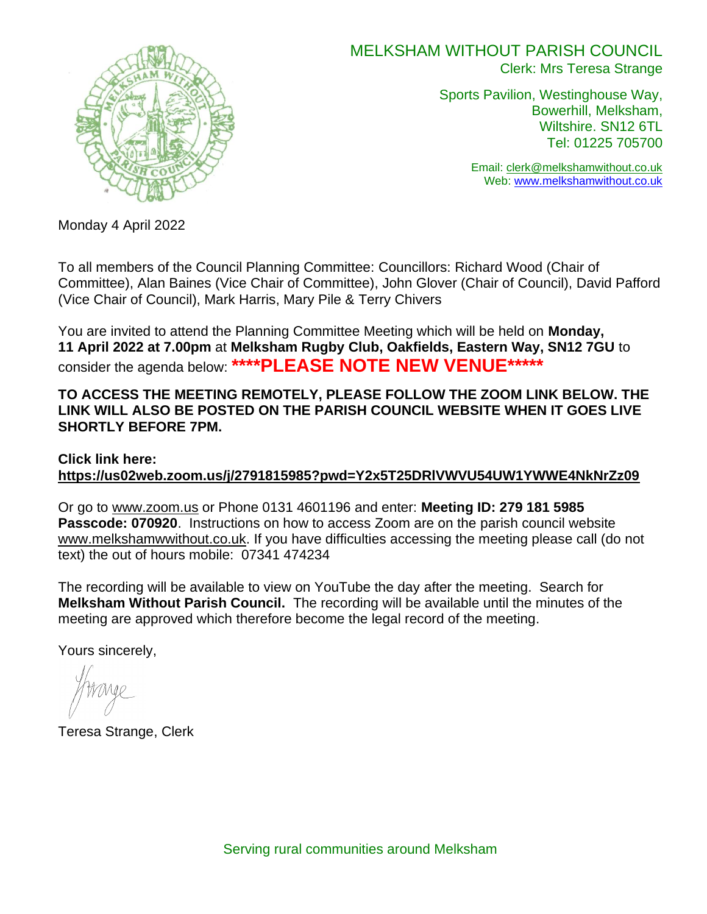

## MELKSHAM WITHOUT PARISH COUNCIL Clerk: Mrs Teresa Strange

Sports Pavilion, Westinghouse Way, Bowerhill, Melksham, Wiltshire. SN12 6TL Tel: 01225 705700

> Email: [clerk@melkshamwithout.co.uk](mailto:clerk@melkshamwithout.co.uk) Web: [www.melkshamwithout.co.uk](http://www.melkshamwithout.co.uk/)

Monday 4 April 2022

To all members of the Council Planning Committee: Councillors: Richard Wood (Chair of Committee), Alan Baines (Vice Chair of Committee), John Glover (Chair of Council), David Pafford (Vice Chair of Council), Mark Harris, Mary Pile & Terry Chivers

You are invited to attend the Planning Committee Meeting which will be held on **Monday, 11 April 2022 at 7.00pm** at **Melksham Rugby Club, Oakfields, Eastern Way, SN12 7GU** to consider the agenda below: **\*\*\*\*PLEASE NOTE NEW VENUE\*\*\*\*\***

### **TO ACCESS THE MEETING REMOTELY, PLEASE FOLLOW THE ZOOM LINK BELOW. THE LINK WILL ALSO BE POSTED ON THE PARISH COUNCIL WEBSITE WHEN IT GOES LIVE SHORTLY BEFORE 7PM.**

### **Click link here: <https://us02web.zoom.us/j/2791815985?pwd=Y2x5T25DRlVWVU54UW1YWWE4NkNrZz09>**

Or go to [www.zoom.us](http://www.zoom.us/) or Phone 0131 4601196 and enter: **Meeting ID: 279 181 5985 Passcode: 070920**. Instructions on how to access Zoom are on the parish council website [www.melkshamwwithout.co.uk.](http://www.melkshamwwithout.co.uk/) If you have difficulties accessing the meeting please call (do not text) the out of hours mobile: 07341 474234

The recording will be available to view on YouTube the day after the meeting. Search for **Melksham Without Parish Council.** The recording will be available until the minutes of the meeting are approved which therefore become the legal record of the meeting.

Yours sincerely,

Teresa Strange, Clerk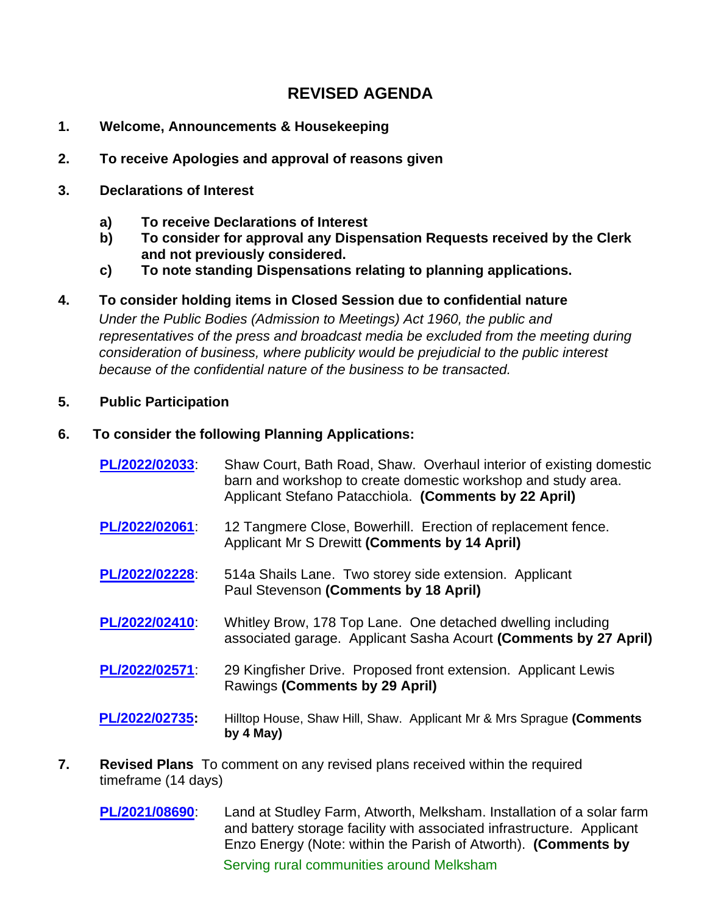# **REVISED AGENDA**

- **1. Welcome, Announcements & Housekeeping**
- **2. To receive Apologies and approval of reasons given**
- **3. Declarations of Interest**
	- **a) To receive Declarations of Interest**
	- **b) To consider for approval any Dispensation Requests received by the Clerk and not previously considered.**
	- **c) To note standing Dispensations relating to planning applications.**
- **4. To consider holding items in Closed Session due to confidential nature**

 *Under the Public Bodies (Admission to Meetings) Act 1960, the public and representatives of the press and broadcast media be excluded from the meeting during consideration of business, where publicity would be prejudicial to the public interest because of the confidential nature of the business to be transacted.*

### **5. Public Participation**

### **6. To consider the following Planning Applications:**

- **[PL/2022/02033](https://development.wiltshire.gov.uk/pr/s/planning-application/a0i3z000017TgoCAAS/pl202202033)**: Shaw Court, Bath Road, Shaw. Overhaul interior of existing domestic barn and workshop to create domestic workshop and study area. Applicant Stefano Patacchiola. **(Comments by 22 April)**
- **[PL/2022/02061](https://development.wiltshire.gov.uk/pr/s/planning-application/a0i3z000017TitdAAC/pl202202061)**: 12 Tangmere Close, Bowerhill. Erection of replacement fence. Applicant Mr S Drewitt **(Comments by 14 April)**
- **[PL/2022/02228](https://development.wiltshire.gov.uk/pr/s/planning-application/a0i3z000017UDjyAAG/pl202202228)**: 514a Shails Lane. Two storey side extension. Applicant Paul Stevenson **(Comments by 18 April)**
- **[PL/2022/02410](https://development.wiltshire.gov.uk/pr/s/planning-application/a0i3z000017UfEuAAK/pl202202410)**: Whitley Brow, 178 Top Lane. One detached dwelling including associated garage. Applicant Sasha Acourt **(Comments by 27 April)**
- **[PL/2022/02571](https://development.wiltshire.gov.uk/pr/s/planning-application/a0i3z000017UsDBAA0/pl202202571)**: 29 Kingfisher Drive. Proposed front extension. Applicant Lewis Rawings **(Comments by 29 April)**
- **[PL/2022/02735:](https://development.wiltshire.gov.uk/pr/s/planning-application/a0i3z0000183GmEAAU/pl202202735)** Hilltop House, Shaw Hill, Shaw. Applicant Mr & Mrs Sprague **(Comments by 4 May)**
- **7. Revised Plans** To comment on any revised plans received within the required timeframe (14 days)
	- Serving rural communities around Melksham **[PL/2021/08690](https://development.wiltshire.gov.uk/pr/s/planning-application/a0i3z000016QA2nAAG/pl202108690)**: Land at Studley Farm, Atworth, Melksham. Installation of a solar farm and battery storage facility with associated infrastructure. Applicant Enzo Energy (Note: within the Parish of Atworth). **(Comments by**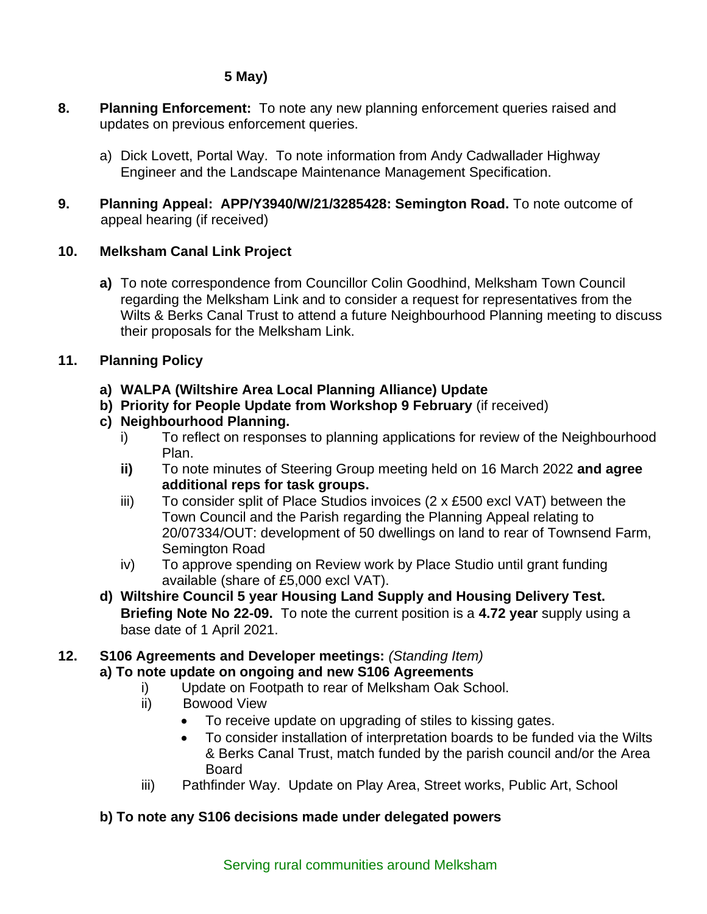## **5 May)**

- **8. Planning Enforcement:** To note any new planning enforcement queries raised and updates on previous enforcement queries.
	- a) Dick Lovett, Portal Way. To note information from Andy Cadwallader Highway Engineer and the Landscape Maintenance Management Specification.
- **9. Planning Appeal: APP/Y3940/W/21/3285428: Semington Road.** To note outcome of appeal hearing (if received)

## **10. Melksham Canal Link Project**

**a)** To note correspondence from Councillor Colin Goodhind, Melksham Town Council regarding the Melksham Link and to consider a request for representatives from the Wilts & Berks Canal Trust to attend a future Neighbourhood Planning meeting to discuss their proposals for the Melksham Link.

### **11. Planning Policy**

- **a) WALPA (Wiltshire Area Local Planning Alliance) Update**
- **b) Priority for People Update from Workshop 9 February** (if received)

## **c) Neighbourhood Planning.**

- i) To reflect on responses to planning applications for review of the Neighbourhood Plan.
- **ii)** To note minutes of Steering Group meeting held on 16 March 2022 **and agree additional reps for task groups.**
- iii) To consider split of Place Studios invoices  $(2 \times £500$  excl VAT) between the Town Council and the Parish regarding the Planning Appeal relating to 20/07334/OUT: development of 50 dwellings on land to rear of Townsend Farm, Semington Road
- iv) To approve spending on Review work by Place Studio until grant funding available (share of £5,000 excl VAT).
- **d) Wiltshire Council 5 year Housing Land Supply and Housing Delivery Test. Briefing Note No 22-09.** To note the current position is a **4.72 year** supply using a base date of 1 April 2021.

## **12. S106 Agreements and Developer meetings:** *(Standing Item)*

- **a) To note update on ongoing and new S106 Agreements**
	- i)Update on Footpath to rear of Melksham Oak School.
	- ii) Bowood View
		- To receive update on upgrading of stiles to kissing gates.
		- To consider installation of interpretation boards to be funded via the Wilts & Berks Canal Trust, match funded by the parish council and/or the Area Board
	- iii) Pathfinder Way. Update on Play Area, Street works, Public Art, School

## **b) To note any S106 decisions made under delegated powers**